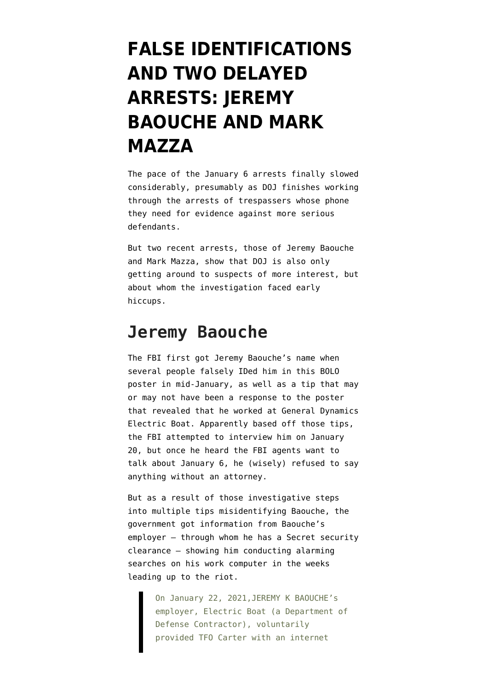## **[FALSE IDENTIFICATIONS](https://www.emptywheel.net/2021/11/22/false-identifications-and-two-delayed-arrests-jeremy-baouche-and-mark-mazza/) [AND TWO DELAYED](https://www.emptywheel.net/2021/11/22/false-identifications-and-two-delayed-arrests-jeremy-baouche-and-mark-mazza/) [ARRESTS: JEREMY](https://www.emptywheel.net/2021/11/22/false-identifications-and-two-delayed-arrests-jeremy-baouche-and-mark-mazza/) [BAOUCHE AND MARK](https://www.emptywheel.net/2021/11/22/false-identifications-and-two-delayed-arrests-jeremy-baouche-and-mark-mazza/) [MAZZA](https://www.emptywheel.net/2021/11/22/false-identifications-and-two-delayed-arrests-jeremy-baouche-and-mark-mazza/)**

The pace of the January 6 arrests finally slowed considerably, presumably as DOJ finishes working through the arrests of trespassers whose phone they need for evidence against more serious defendants.

But two recent arrests, those of [Jeremy Baouche](https://extremism.gwu.edu/sites/g/files/zaxdzs2191/f/Jeremy%20Baouche%20Statement%20of%20Facts.pdf) and [Mark Mazza](https://www.justice.gov/usao-dc/press-release/file/1449771/download), show that DOJ is also only getting around to suspects of more interest, but about whom the investigation faced early hiccups.

## **Jeremy Baouche**

The FBI first got Jeremy Baouche's name when several people falsely IDed him in [this BOLO](https://www.fbi.gov/wanted/capitol-violence-images/capitol-19a.jpg/view) [poster](https://www.fbi.gov/wanted/capitol-violence-images/capitol-19a.jpg/view) in mid-January, as well as a tip that may or may not have been a response to the poster that revealed that he worked at General Dynamics Electric Boat. Apparently based off those tips, the FBI attempted to interview him on January 20, but once he heard the FBI agents want to talk about January 6, he (wisely) refused to say anything without an attorney.

But as a result of those investigative steps into multiple tips misidentifying Baouche, the government got information from Baouche's employer — through whom he has a Secret security clearance — showing him conducting alarming searches on his work computer in the weeks leading up to the riot.

> On January 22, 2021,JEREMY K BAOUCHE's employer, Electric Boat (a Department of Defense Contractor), voluntarily provided TFO Carter with an internet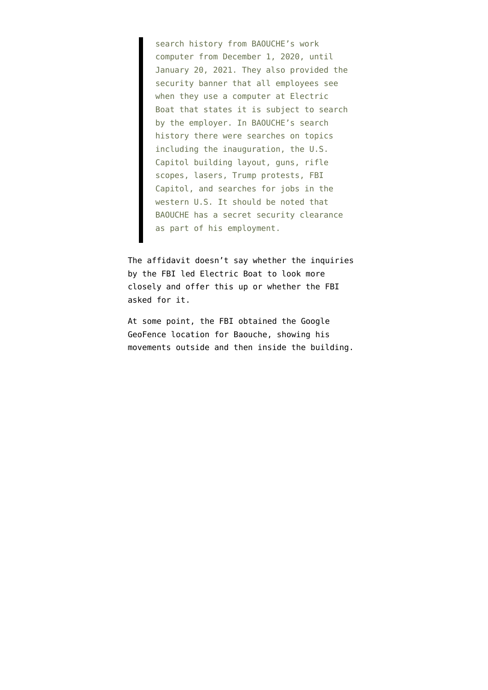search history from BAOUCHE's work computer from December 1, 2020, until January 20, 2021. They also provided the security banner that all employees see when they use a computer at Electric Boat that states it is subject to search by the employer. In BAOUCHE's search history there were searches on topics including the inauguration, the U.S. Capitol building layout, guns, rifle scopes, lasers, Trump protests, FBI Capitol, and searches for jobs in the western U.S. It should be noted that BAOUCHE has a secret security clearance as part of his employment.

The affidavit doesn't say whether the inquiries by the FBI led Electric Boat to look more closely and offer this up or whether the FBI asked for it.

At some point, the FBI obtained the Google GeoFence location for Baouche, showing his movements outside and then inside the building.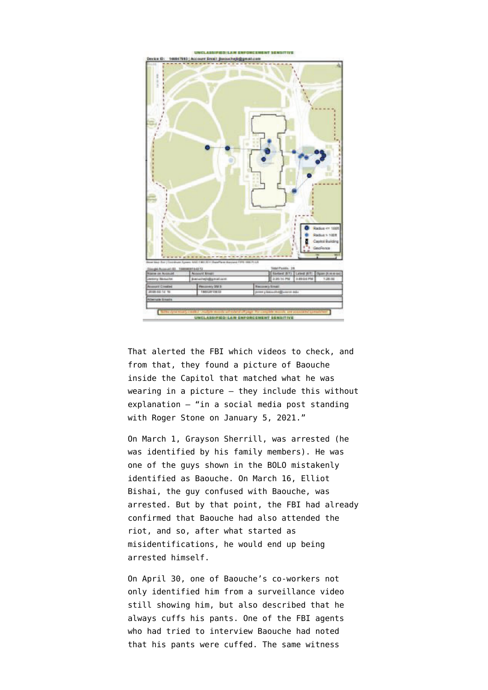

That alerted the FBI which videos to check, and from that, they found a picture of Baouche inside the Capitol that matched what he was wearing in a picture — they include this without explanation — "in a social media post standing with Roger Stone on January 5, 2021."

On March 1, Grayson Sherrill, [was arrested](https://www.justice.gov/usao-dc/case-multi-defendant/file/1379331/download) (he was identified by his family members). He was one of the guys shown in the BOLO mistakenly identified as Baouche. On March 16, Elliot Bishai, the guy confused with Baouche, [was](https://storage.courtlistener.com/recap/gov.uscourts.dcd.228887/gov.uscourts.dcd.228887.1.1.pdf) [arrested.](https://storage.courtlistener.com/recap/gov.uscourts.dcd.228887/gov.uscourts.dcd.228887.1.1.pdf) But by that point, the FBI had already confirmed that Baouche had also attended the riot, and so, after what started as misidentifications, he would end up being arrested himself.

On April 30, one of Baouche's co-workers not only identified him from a surveillance video still showing him, but also described that he always cuffs his pants. One of the FBI agents who had tried to interview Baouche had noted that his pants were cuffed. The same witness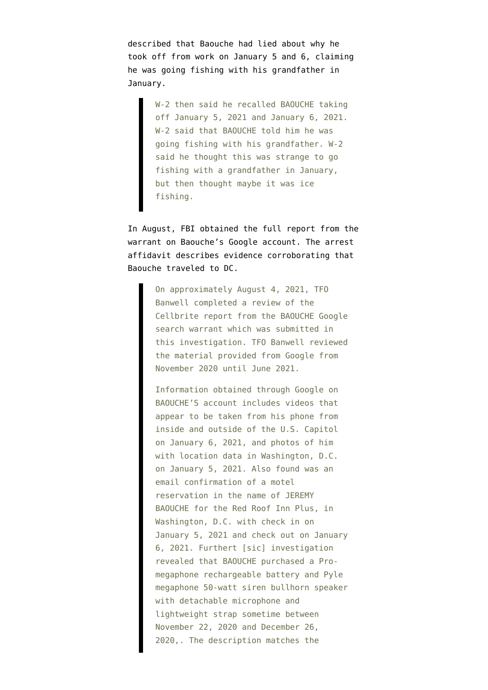described that Baouche had lied about why he took off from work on January 5 and 6, claiming he was going fishing with his grandfather in January.

> W-2 then said he recalled BAOUCHE taking off January 5, 2021 and January 6, 2021. W-2 said that BAOUCHE told him he was going fishing with his grandfather. W-2 said he thought this was strange to go fishing with a grandfather in January, but then thought maybe it was ice fishing.

In August, FBI obtained the full report from the warrant on Baouche's Google account. The arrest affidavit describes evidence corroborating that Baouche traveled to DC.

> On approximately August 4, 2021, TFO Banwell completed a review of the Cellbrite report from the BAOUCHE Google search warrant which was submitted in this investigation. TFO Banwell reviewed the material provided from Google from November 2020 until June 2021.

> Information obtained through Google on BAOUCHE'S account includes videos that appear to be taken from his phone from inside and outside of the U.S. Capitol on January 6, 2021, and photos of him with location data in Washington, D.C. on January 5, 2021. Also found was an email confirmation of a motel reservation in the name of JEREMY BAOUCHE for the Red Roof Inn Plus, in Washington, D.C. with check in on January 5, 2021 and check out on January 6, 2021. Furthert [sic] investigation revealed that BAOUCHE purchased a Promegaphone rechargeable battery and Pyle megaphone 50-watt siren bullhorn speaker with detachable microphone and lightweight strap sometime between November 22, 2020 and December 26, 2020,. The description matches the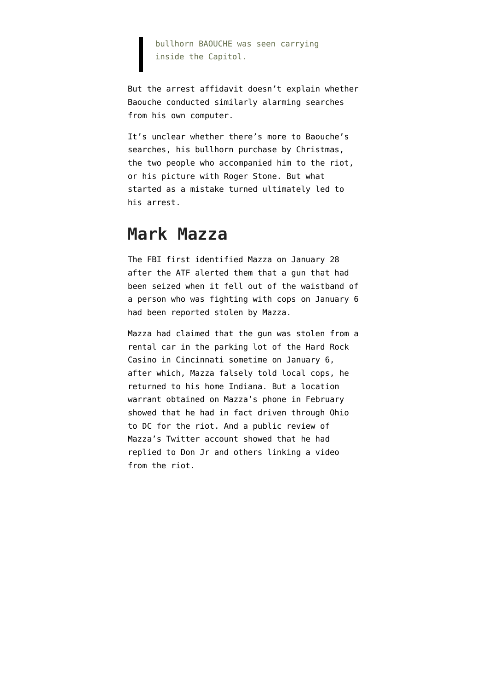## bullhorn BAOUCHE was seen carrying inside the Capitol.

But the arrest affidavit doesn't explain whether Baouche conducted similarly alarming searches from his own computer.

It's unclear whether there's more to Baouche's searches, his bullhorn purchase by Christmas, the two people who accompanied him to the riot, or his picture with Roger Stone. But what started as a mistake turned ultimately led to his arrest.

## **Mark Mazza**

The FBI first identified Mazza on January 28 after the ATF alerted them that a gun that had been seized when it fell out of the waistband of a person who was fighting with cops on January 6 had been reported stolen by Mazza.

Mazza had claimed that the gun was stolen from a rental car in the parking lot of the Hard Rock Casino in Cincinnati sometime on January 6, after which, Mazza falsely told local cops, he returned to his home Indiana. But a location warrant obtained on Mazza's phone in February showed that he had in fact driven through Ohio to DC for the riot. And a public review of Mazza's Twitter account showed that he had replied to Don Jr and others linking a video from the riot.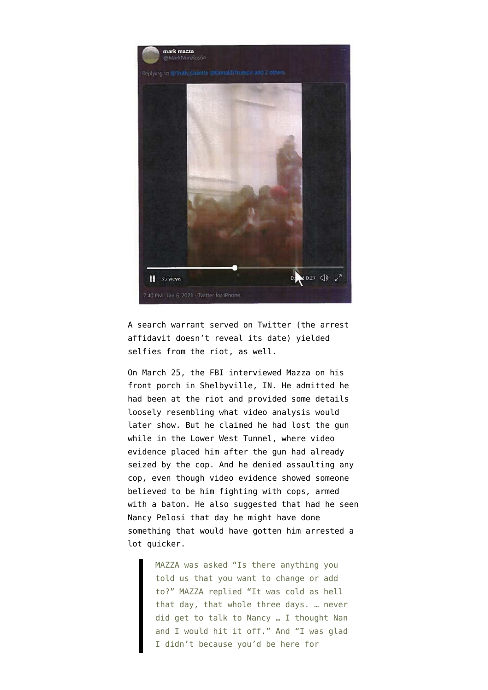

A search warrant served on Twitter (the arrest affidavit doesn't reveal its date) yielded selfies from the riot, as well.

On March 25, the FBI interviewed Mazza on his front porch in Shelbyville, IN. He admitted he had been at the riot and provided some details loosely resembling what video analysis would later show. But he claimed he had lost the gun while in the Lower West Tunnel, where video evidence placed him after the gun had already seized by the cop. And he denied assaulting any cop, even though video evidence showed someone believed to be him fighting with cops, armed with a baton. He also suggested that had he seen Nancy Pelosi that day he might have done something that would have gotten him arrested a lot quicker.

> MAZZA was asked "Is there anything you told us that you want to change or add to?" MAZZA replied "It was cold as hell that day, that whole three days. … never did get to talk to Nancy … I thought Nan and I would hit it off." And "I was glad I didn't because you'd be here for